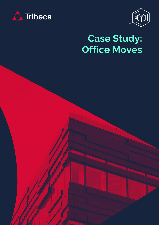



# **Case Study: Office Moves**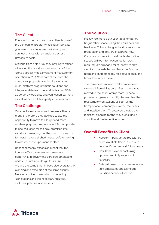#### **The Client**

Founded in the UK in 2007, our client is one of the pioneers of programmatic advertising. Its goal was to revolutionise the industry and connect brands with an audience across devices, at scale.

Growing from a start-up, they now have offices all around the world and became part of the world's largest media investment management operation in 2015. With data at the core, the company's proprietary technology enables multi-platform programmatic solutions and integrates data from the world's leading DSPs, ad servers, viewability and verification partners as well as first and third-party customer data.

### **The Challenge**

Our client's lease was due to expire within two months, therefore they decided to use the opportunity to move to a larger and more modern, purpose-design spaced. To complicate things, the lease for the new premises was withdrawn, meaning that they had to move to a temporary space at short notice, before moving to a newly chosen permanent office.

Recent company expansion meant that the London office move was also seen as an opportunity to review old core equipment and update the network design for its 80+ users. Around the same time, Tribeca also oversaw the planning and execution of the same client's New York office move, which included 25 workstations and the necessary firewalls, switches, patches, and servers.

## **The Solution**

Initially, we moved our client to a temporary Regus office space, using their own network hardware. Tribeca designed and oversaw the preparation and delivery of a brand-new Comms room. As with most dedicated office spaces, a fixed internet connection was required. We arranged for at least two fibre circuits to be installed and have the Comms room and all floors ready for occupation by the time of the office move.

The move was planned to take place over a weekend. Remaining core infrastructure was moved to the new Comms room. Tribeca provided engineers to audit, disassemble, then reassemble workstations as soon as the transportation company delivered the desks and installed them. Tribeca coordinated the logistical planning for the move, ensuring a smooth and cost-effective move.

## **Overall Benefits to Client**

- Network Infrastructure redesigned across multiple floors in line with our client's current and future needs
- New Comms room containing updated and fully redundant hardware
- Detailed project management under tight timescales and a smooth transition between locations